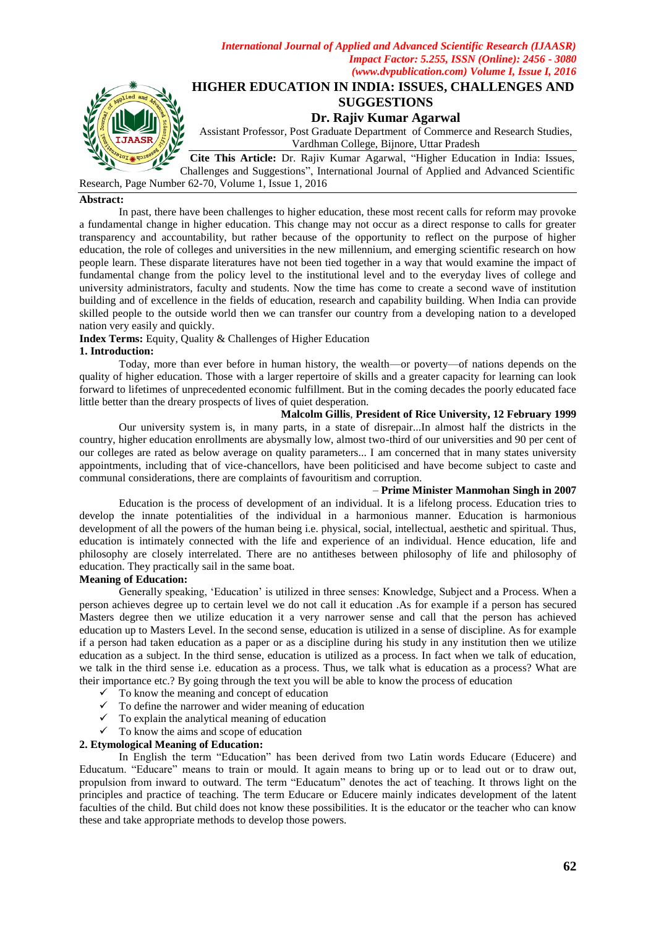

# **HIGHER EDUCATION IN INDIA: ISSUES, CHALLENGES AND SUGGESTIONS**

**Dr. Rajiv Kumar Agarwal**

Assistant Professor, Post Graduate Department of Commerce and Research Studies, Vardhman College, Bijnore, Uttar Pradesh

Cite This Article: Dr. Rajiv Kumar Agarwal, "Higher Education in India: Issues, Challenges and Suggestions‖, International Journal of Applied and Advanced Scientific Research, Page Number 62-70, Volume 1, Issue 1, 2016

# **Abstract:**

In past, there have been challenges to higher education, these most recent calls for reform may provoke a fundamental change in higher education. This change may not occur as a direct response to calls for greater transparency and accountability, but rather because of the opportunity to reflect on the purpose of higher education, the role of colleges and universities in the new millennium, and emerging scientific research on how people learn. These disparate literatures have not been tied together in a way that would examine the impact of fundamental change from the policy level to the institutional level and to the everyday lives of college and university administrators, faculty and students. Now the time has come to create a second wave of institution building and of excellence in the fields of education, research and capability building. When India can provide skilled people to the outside world then we can transfer our country from a developing nation to a developed nation very easily and quickly.

**Index Terms:** Equity, Quality & Challenges of Higher Education

# **1. Introduction:**

Today, more than ever before in human history, the wealth—or poverty—of nations depends on the quality of higher education. Those with a larger repertoire of skills and a greater capacity for learning can look forward to lifetimes of unprecedented economic fulfillment. But in the coming decades the poorly educated face little better than the dreary prospects of lives of quiet desperation.

# **Malcolm Gillis**, **President of Rice University, 12 February 1999**

Our university system is, in many parts, in a state of disrepair...In almost half the districts in the country, higher education enrollments are abysmally low, almost two-third of our universities and 90 per cent of our colleges are rated as below average on quality parameters... I am concerned that in many states university appointments, including that of vice-chancellors, have been politicised and have become subject to caste and communal considerations, there are complaints of favouritism and corruption.

# – **Prime Minister Manmohan Singh in 2007**

Education is the process of development of an individual. It is a lifelong process. Education tries to develop the innate potentialities of the individual in a harmonious manner. Education is harmonious development of all the powers of the human being i.e. physical, social, intellectual, aesthetic and spiritual. Thus, education is intimately connected with the life and experience of an individual. Hence education, life and philosophy are closely interrelated. There are no antitheses between philosophy of life and philosophy of education. They practically sail in the same boat.

# **Meaning of Education:**

Generally speaking, ‗Education' is utilized in three senses: Knowledge, Subject and a Process. When a person achieves degree up to certain level we do not call it education .As for example if a person has secured Masters degree then we utilize education it a very narrower sense and call that the person has achieved education up to Masters Level. In the second sense, education is utilized in a sense of discipline. As for example if a person had taken education as a paper or as a discipline during his study in any institution then we utilize education as a subject. In the third sense, education is utilized as a process. In fact when we talk of education, we talk in the third sense i.e. education as a process. Thus, we talk what is education as a process? What are their importance etc.? By going through the text you will be able to know the process of education

- $\checkmark$  To know the meaning and concept of education
- $\checkmark$  To define the narrower and wider meaning of education
- $\checkmark$  To explain the analytical meaning of education
- $\checkmark$  To know the aims and scope of education

# **2. Etymological Meaning of Education:**

In English the term "Education" has been derived from two Latin words Educare (Educere) and Educatum. "Educare" means to train or mould. It again means to bring up or to lead out or to draw out, propulsion from inward to outward. The term "Educatum" denotes the act of teaching. It throws light on the principles and practice of teaching. The term Educare or Educere mainly indicates development of the latent faculties of the child. But child does not know these possibilities. It is the educator or the teacher who can know these and take appropriate methods to develop those powers.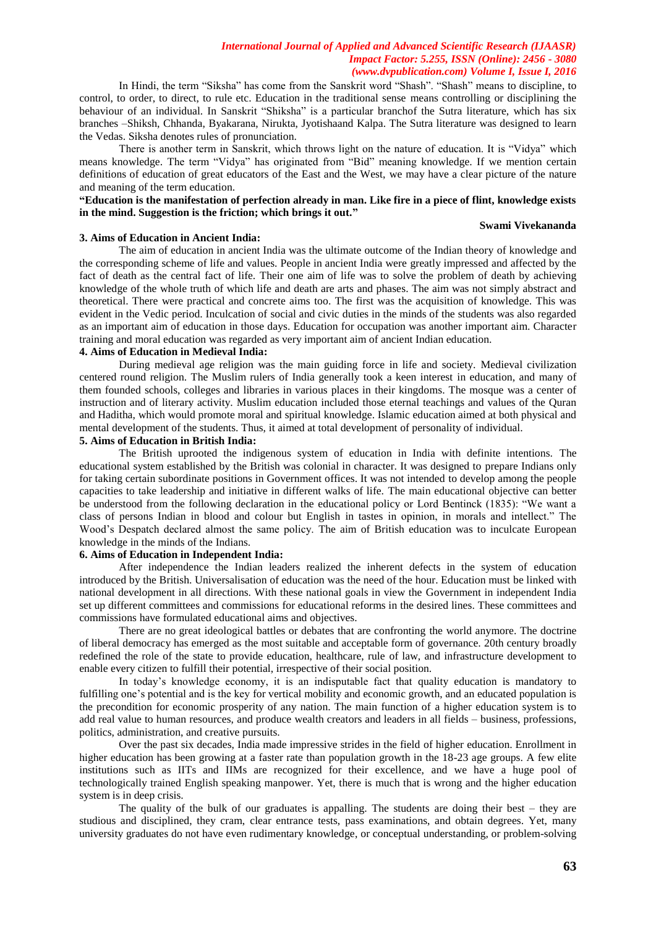In Hindi, the term "Siksha" has come from the Sanskrit word "Shash". "Shash" means to discipline, to control, to order, to direct, to rule etc. Education in the traditional sense means controlling or disciplining the behaviour of an individual. In Sanskrit "Shiksha" is a particular branchof the Sutra literature, which has six branches –Shiksh, Chhanda, Byakarana, Nirukta, Jyotishaand Kalpa. The Sutra literature was designed to learn the Vedas. Siksha denotes rules of pronunciation.

There is another term in Sanskrit, which throws light on the nature of education. It is "Vidya" which means knowledge. The term "Vidya" has originated from "Bid" meaning knowledge. If we mention certain definitions of education of great educators of the East and the West, we may have a clear picture of the nature and meaning of the term education.

# **"Education is the manifestation of perfection already in man. Like fire in a piece of flint, knowledge exists in the mind. Suggestion is the friction; which brings it out."**

# **Swami Vivekananda**

### **3. Aims of Education in Ancient India:**

The aim of education in ancient India was the ultimate outcome of the Indian theory of knowledge and the corresponding scheme of life and values. People in ancient India were greatly impressed and affected by the fact of death as the central fact of life. Their one aim of life was to solve the problem of death by achieving knowledge of the whole truth of which life and death are arts and phases. The aim was not simply abstract and theoretical. There were practical and concrete aims too. The first was the acquisition of knowledge. This was evident in the Vedic period. Inculcation of social and civic duties in the minds of the students was also regarded as an important aim of education in those days. Education for occupation was another important aim. Character training and moral education was regarded as very important aim of ancient Indian education.

# **4. Aims of Education in Medieval India:**

During medieval age religion was the main guiding force in life and society. Medieval civilization centered round religion. The Muslim rulers of India generally took a keen interest in education, and many of them founded schools, colleges and libraries in various places in their kingdoms. The mosque was a center of instruction and of literary activity. Muslim education included those eternal teachings and values of the Quran and Haditha, which would promote moral and spiritual knowledge. Islamic education aimed at both physical and mental development of the students. Thus, it aimed at total development of personality of individual.

# **5. Aims of Education in British India:**

The British uprooted the indigenous system of education in India with definite intentions. The educational system established by the British was colonial in character. It was designed to prepare Indians only for taking certain subordinate positions in Government offices. It was not intended to develop among the people capacities to take leadership and initiative in different walks of life. The main educational objective can better be understood from the following declaration in the educational policy or Lord Bentinck (1835): "We want a class of persons Indian in blood and colour but English in tastes in opinion, in morals and intellect." The Wood's Despatch declared almost the same policy. The aim of British education was to inculcate European knowledge in the minds of the Indians.

# **6. Aims of Education in Independent India:**

After independence the Indian leaders realized the inherent defects in the system of education introduced by the British. Universalisation of education was the need of the hour. Education must be linked with national development in all directions. With these national goals in view the Government in independent India set up different committees and commissions for educational reforms in the desired lines. These committees and commissions have formulated educational aims and objectives.

There are no great ideological battles or debates that are confronting the world anymore. The doctrine of liberal democracy has emerged as the most suitable and acceptable form of governance. 20th century broadly redefined the role of the state to provide education, healthcare, rule of law, and infrastructure development to enable every citizen to fulfill their potential, irrespective of their social position.

In today's knowledge economy, it is an indisputable fact that quality education is mandatory to fulfilling one's potential and is the key for vertical mobility and economic growth, and an educated population is the precondition for economic prosperity of any nation. The main function of a higher education system is to add real value to human resources, and produce wealth creators and leaders in all fields – business, professions, politics, administration, and creative pursuits.

Over the past six decades, India made impressive strides in the field of higher education. Enrollment in higher education has been growing at a faster rate than population growth in the 18-23 age groups. A few elite institutions such as IITs and IIMs are recognized for their excellence, and we have a huge pool of technologically trained English speaking manpower. Yet, there is much that is wrong and the higher education system is in deep crisis.

The quality of the bulk of our graduates is appalling. The students are doing their best – they are studious and disciplined, they cram, clear entrance tests, pass examinations, and obtain degrees. Yet, many university graduates do not have even rudimentary knowledge, or conceptual understanding, or problem-solving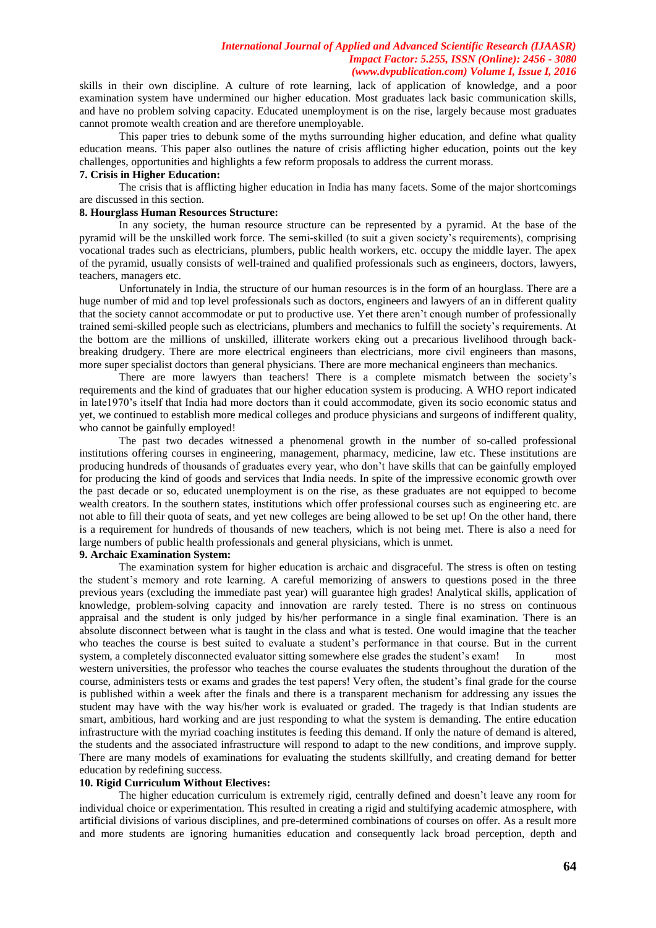skills in their own discipline. A culture of rote learning, lack of application of knowledge, and a poor examination system have undermined our higher education. Most graduates lack basic communication skills, and have no problem solving capacity. Educated unemployment is on the rise, largely because most graduates cannot promote wealth creation and are therefore unemployable.

This paper tries to debunk some of the myths surrounding higher education, and define what quality education means. This paper also outlines the nature of crisis afflicting higher education, points out the key challenges, opportunities and highlights a few reform proposals to address the current morass.

# **7. Crisis in Higher Education:**

The crisis that is afflicting higher education in India has many facets. Some of the major shortcomings are discussed in this section.

### **8. Hourglass Human Resources Structure:**

In any society, the human resource structure can be represented by a pyramid. At the base of the pyramid will be the unskilled work force. The semi-skilled (to suit a given society's requirements), comprising vocational trades such as electricians, plumbers, public health workers, etc. occupy the middle layer. The apex of the pyramid, usually consists of well-trained and qualified professionals such as engineers, doctors, lawyers, teachers, managers etc.

Unfortunately in India, the structure of our human resources is in the form of an hourglass. There are a huge number of mid and top level professionals such as doctors, engineers and lawyers of an in different quality that the society cannot accommodate or put to productive use. Yet there aren't enough number of professionally trained semi-skilled people such as electricians, plumbers and mechanics to fulfill the society's requirements. At the bottom are the millions of unskilled, illiterate workers eking out a precarious livelihood through backbreaking drudgery. There are more electrical engineers than electricians, more civil engineers than masons, more super specialist doctors than general physicians. There are more mechanical engineers than mechanics.

There are more lawyers than teachers! There is a complete mismatch between the society's requirements and the kind of graduates that our higher education system is producing. A WHO report indicated in late1970's itself that India had more doctors than it could accommodate, given its socio economic status and yet, we continued to establish more medical colleges and produce physicians and surgeons of indifferent quality, who cannot be gainfully employed!

The past two decades witnessed a phenomenal growth in the number of so-called professional institutions offering courses in engineering, management, pharmacy, medicine, law etc. These institutions are producing hundreds of thousands of graduates every year, who don't have skills that can be gainfully employed for producing the kind of goods and services that India needs. In spite of the impressive economic growth over the past decade or so, educated unemployment is on the rise, as these graduates are not equipped to become wealth creators. In the southern states, institutions which offer professional courses such as engineering etc. are not able to fill their quota of seats, and yet new colleges are being allowed to be set up! On the other hand, there is a requirement for hundreds of thousands of new teachers, which is not being met. There is also a need for large numbers of public health professionals and general physicians, which is unmet.

# **9. Archaic Examination System:**

The examination system for higher education is archaic and disgraceful. The stress is often on testing the student's memory and rote learning. A careful memorizing of answers to questions posed in the three previous years (excluding the immediate past year) will guarantee high grades! Analytical skills, application of knowledge, problem-solving capacity and innovation are rarely tested. There is no stress on continuous appraisal and the student is only judged by his/her performance in a single final examination. There is an absolute disconnect between what is taught in the class and what is tested. One would imagine that the teacher who teaches the course is best suited to evaluate a student's performance in that course. But in the current system, a completely disconnected evaluator sitting somewhere else grades the student's exam! In most western universities, the professor who teaches the course evaluates the students throughout the duration of the course, administers tests or exams and grades the test papers! Very often, the student's final grade for the course is published within a week after the finals and there is a transparent mechanism for addressing any issues the student may have with the way his/her work is evaluated or graded. The tragedy is that Indian students are smart, ambitious, hard working and are just responding to what the system is demanding. The entire education infrastructure with the myriad coaching institutes is feeding this demand. If only the nature of demand is altered, the students and the associated infrastructure will respond to adapt to the new conditions, and improve supply. There are many models of examinations for evaluating the students skillfully, and creating demand for better education by redefining success.

# **10. Rigid Curriculum Without Electives:**

The higher education curriculum is extremely rigid, centrally defined and doesn't leave any room for individual choice or experimentation. This resulted in creating a rigid and stultifying academic atmosphere, with artificial divisions of various disciplines, and pre-determined combinations of courses on offer. As a result more and more students are ignoring humanities education and consequently lack broad perception, depth and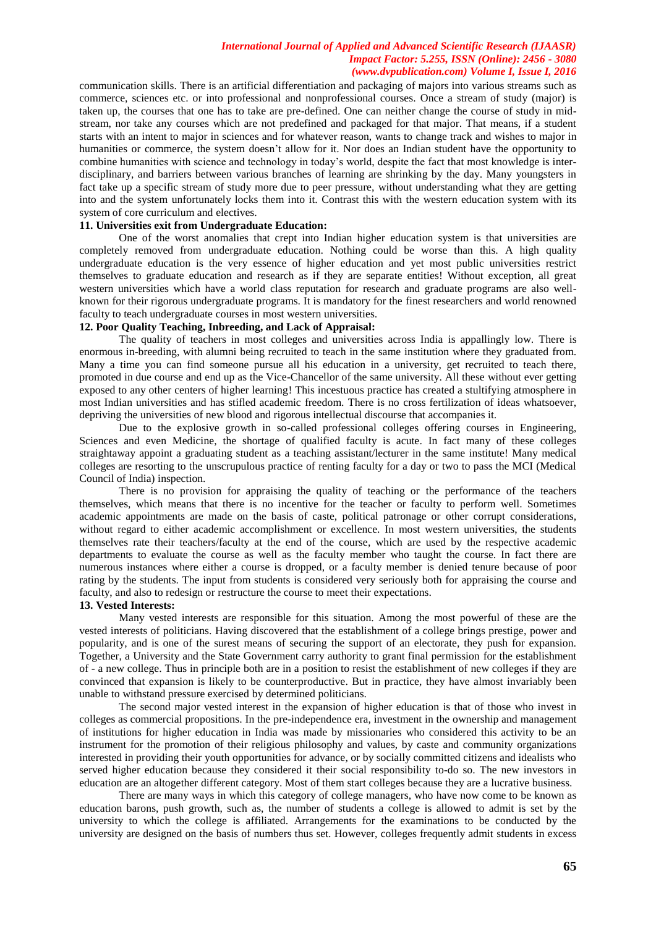communication skills. There is an artificial differentiation and packaging of majors into various streams such as commerce, sciences etc. or into professional and nonprofessional courses. Once a stream of study (major) is taken up, the courses that one has to take are pre-defined. One can neither change the course of study in midstream, nor take any courses which are not predefined and packaged for that major. That means, if a student starts with an intent to major in sciences and for whatever reason, wants to change track and wishes to major in humanities or commerce, the system doesn't allow for it. Nor does an Indian student have the opportunity to combine humanities with science and technology in today's world, despite the fact that most knowledge is interdisciplinary, and barriers between various branches of learning are shrinking by the day. Many youngsters in fact take up a specific stream of study more due to peer pressure, without understanding what they are getting into and the system unfortunately locks them into it. Contrast this with the western education system with its system of core curriculum and electives.

# **11. Universities exit from Undergraduate Education:**

One of the worst anomalies that crept into Indian higher education system is that universities are completely removed from undergraduate education. Nothing could be worse than this. A high quality undergraduate education is the very essence of higher education and yet most public universities restrict themselves to graduate education and research as if they are separate entities! Without exception, all great western universities which have a world class reputation for research and graduate programs are also wellknown for their rigorous undergraduate programs. It is mandatory for the finest researchers and world renowned faculty to teach undergraduate courses in most western universities.

# **12. Poor Quality Teaching, Inbreeding, and Lack of Appraisal:**

The quality of teachers in most colleges and universities across India is appallingly low. There is enormous in-breeding, with alumni being recruited to teach in the same institution where they graduated from. Many a time you can find someone pursue all his education in a university, get recruited to teach there, promoted in due course and end up as the Vice-Chancellor of the same university. All these without ever getting exposed to any other centers of higher learning! This incestuous practice has created a stultifying atmosphere in most Indian universities and has stifled academic freedom. There is no cross fertilization of ideas whatsoever, depriving the universities of new blood and rigorous intellectual discourse that accompanies it.

Due to the explosive growth in so-called professional colleges offering courses in Engineering, Sciences and even Medicine, the shortage of qualified faculty is acute. In fact many of these colleges straightaway appoint a graduating student as a teaching assistant/lecturer in the same institute! Many medical colleges are resorting to the unscrupulous practice of renting faculty for a day or two to pass the MCI (Medical Council of India) inspection.

There is no provision for appraising the quality of teaching or the performance of the teachers themselves, which means that there is no incentive for the teacher or faculty to perform well. Sometimes academic appointments are made on the basis of caste, political patronage or other corrupt considerations, without regard to either academic accomplishment or excellence. In most western universities, the students themselves rate their teachers/faculty at the end of the course, which are used by the respective academic departments to evaluate the course as well as the faculty member who taught the course. In fact there are numerous instances where either a course is dropped, or a faculty member is denied tenure because of poor rating by the students. The input from students is considered very seriously both for appraising the course and faculty, and also to redesign or restructure the course to meet their expectations.

### **13. Vested Interests:**

Many vested interests are responsible for this situation. Among the most powerful of these are the vested interests of politicians. Having discovered that the establishment of a college brings prestige, power and popularity, and is one of the surest means of securing the support of an electorate, they push for expansion. Together, a University and the State Government carry authority to grant final permission for the establishment of - a new college. Thus in principle both are in a position to resist the establishment of new colleges if they are convinced that expansion is likely to be counterproductive. But in practice, they have almost invariably been unable to withstand pressure exercised by determined politicians.

The second major vested interest in the expansion of higher education is that of those who invest in colleges as commercial propositions. In the pre-independence era, investment in the ownership and management of institutions for higher education in India was made by missionaries who considered this activity to be an instrument for the promotion of their religious philosophy and values, by caste and community organizations interested in providing their youth opportunities for advance, or by socially committed citizens and idealists who served higher education because they considered it their social responsibility to-do so. The new investors in education are an altogether different category. Most of them start colleges because they are a lucrative business.

There are many ways in which this category of college managers, who have now come to be known as education barons, push growth, such as, the number of students a college is allowed to admit is set by the university to which the college is affiliated. Arrangements for the examinations to be conducted by the university are designed on the basis of numbers thus set. However, colleges frequently admit students in excess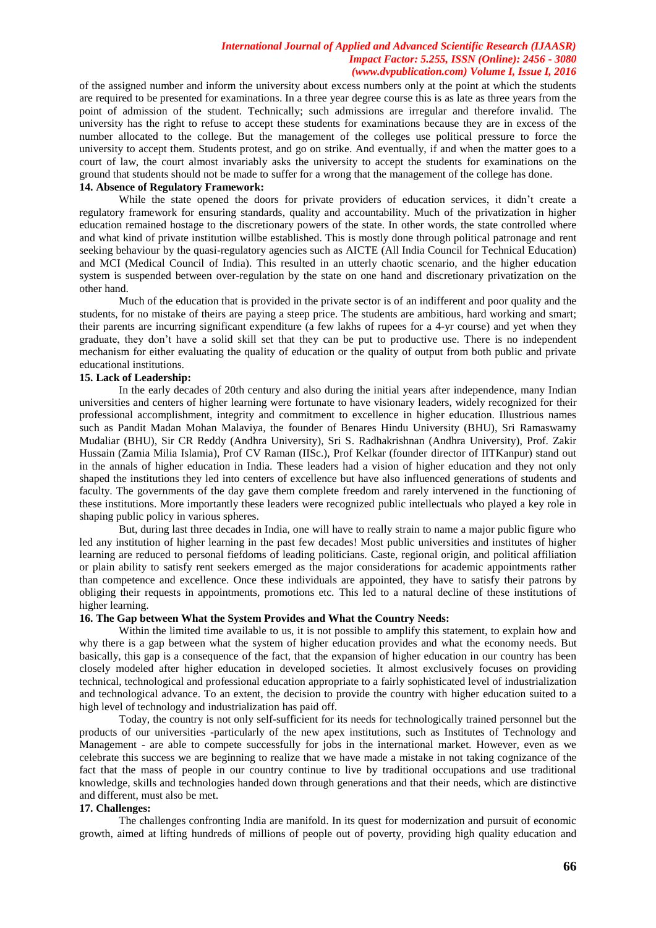of the assigned number and inform the university about excess numbers only at the point at which the students are required to be presented for examinations. In a three year degree course this is as late as three years from the point of admission of the student. Technically; such admissions are irregular and therefore invalid. The university has the right to refuse to accept these students for examinations because they are in excess of the number allocated to the college. But the management of the colleges use political pressure to force the university to accept them. Students protest, and go on strike. And eventually, if and when the matter goes to a court of law, the court almost invariably asks the university to accept the students for examinations on the ground that students should not be made to suffer for a wrong that the management of the college has done.

# **14. Absence of Regulatory Framework:**

While the state opened the doors for private providers of education services, it didn't create a regulatory framework for ensuring standards, quality and accountability. Much of the privatization in higher education remained hostage to the discretionary powers of the state. In other words, the state controlled where and what kind of private institution willbe established. This is mostly done through political patronage and rent seeking behaviour by the quasi-regulatory agencies such as AICTE (All India Council for Technical Education) and MCI (Medical Council of India). This resulted in an utterly chaotic scenario, and the higher education system is suspended between over-regulation by the state on one hand and discretionary privatization on the other hand.

Much of the education that is provided in the private sector is of an indifferent and poor quality and the students, for no mistake of theirs are paying a steep price. The students are ambitious, hard working and smart; their parents are incurring significant expenditure (a few lakhs of rupees for a 4-yr course) and yet when they graduate, they don't have a solid skill set that they can be put to productive use. There is no independent mechanism for either evaluating the quality of education or the quality of output from both public and private educational institutions.

#### **15. Lack of Leadership:**

In the early decades of 20th century and also during the initial years after independence, many Indian universities and centers of higher learning were fortunate to have visionary leaders, widely recognized for their professional accomplishment, integrity and commitment to excellence in higher education. Illustrious names such as Pandit Madan Mohan Malaviya, the founder of Benares Hindu University (BHU), Sri Ramaswamy Mudaliar (BHU), Sir CR Reddy (Andhra University), Sri S. Radhakrishnan (Andhra University), Prof. Zakir Hussain (Zamia Milia Islamia), Prof CV Raman (IISc.), Prof Kelkar (founder director of IITKanpur) stand out in the annals of higher education in India. These leaders had a vision of higher education and they not only shaped the institutions they led into centers of excellence but have also influenced generations of students and faculty. The governments of the day gave them complete freedom and rarely intervened in the functioning of these institutions. More importantly these leaders were recognized public intellectuals who played a key role in shaping public policy in various spheres.

But, during last three decades in India, one will have to really strain to name a major public figure who led any institution of higher learning in the past few decades! Most public universities and institutes of higher learning are reduced to personal fiefdoms of leading politicians. Caste, regional origin, and political affiliation or plain ability to satisfy rent seekers emerged as the major considerations for academic appointments rather than competence and excellence. Once these individuals are appointed, they have to satisfy their patrons by obliging their requests in appointments, promotions etc. This led to a natural decline of these institutions of higher learning.

# **16. The Gap between What the System Provides and What the Country Needs:**

Within the limited time available to us, it is not possible to amplify this statement, to explain how and why there is a gap between what the system of higher education provides and what the economy needs. But basically, this gap is a consequence of the fact, that the expansion of higher education in our country has been closely modeled after higher education in developed societies. It almost exclusively focuses on providing technical, technological and professional education appropriate to a fairly sophisticated level of industrialization and technological advance. To an extent, the decision to provide the country with higher education suited to a high level of technology and industrialization has paid off.

Today, the country is not only self-sufficient for its needs for technologically trained personnel but the products of our universities -particularly of the new apex institutions, such as Institutes of Technology and Management - are able to compete successfully for jobs in the international market. However, even as we celebrate this success we are beginning to realize that we have made a mistake in not taking cognizance of the fact that the mass of people in our country continue to live by traditional occupations and use traditional knowledge, skills and technologies handed down through generations and that their needs, which are distinctive and different, must also be met.

# **17. Challenges:**

The challenges confronting India are manifold. In its quest for modernization and pursuit of economic growth, aimed at lifting hundreds of millions of people out of poverty, providing high quality education and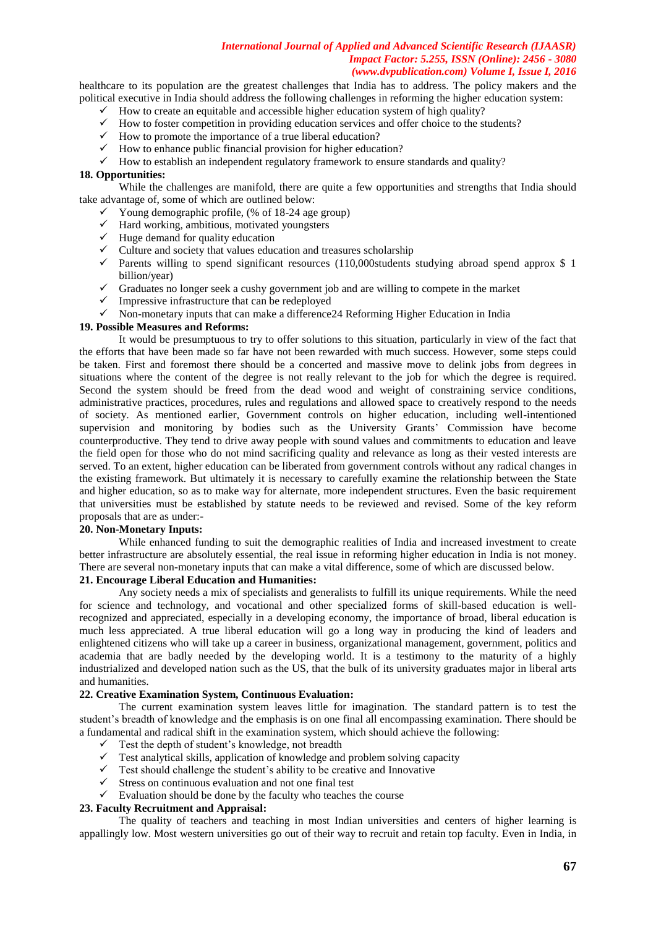healthcare to its population are the greatest challenges that India has to address. The policy makers and the political executive in India should address the following challenges in reforming the higher education system:

- $\checkmark$  How to create an equitable and accessible higher education system of high quality?
- $\checkmark$  How to foster competition in providing education services and offer choice to the students?
- $\checkmark$  How to promote the importance of a true liberal education?
- $\checkmark$  How to enhance public financial provision for higher education?
- $\checkmark$  How to establish an independent regulatory framework to ensure standards and quality?

# **18. Opportunities:**

While the challenges are manifold, there are quite a few opportunities and strengths that India should take advantage of, some of which are outlined below:

- $\checkmark$  Young demographic profile, (% of 18-24 age group)
- $\checkmark$  Hard working, ambitious, motivated youngsters
- $\checkmark$  Huge demand for quality education
- $\checkmark$  Culture and society that values education and treasures scholarship
- $\checkmark$  Parents willing to spend significant resources (110,000students studying abroad spend approx \$ 1 billion/year)
- $\checkmark$  Graduates no longer seek a cushy government job and are willing to compete in the market
- $\checkmark$  Impressive infrastructure that can be redeployed
- $\checkmark$  Non-monetary inputs that can make a difference 24 Reforming Higher Education in India

# **19. Possible Measures and Reforms:**

It would be presumptuous to try to offer solutions to this situation, particularly in view of the fact that the efforts that have been made so far have not been rewarded with much success. However, some steps could be taken. First and foremost there should be a concerted and massive move to delink jobs from degrees in situations where the content of the degree is not really relevant to the job for which the degree is required. Second the system should be freed from the dead wood and weight of constraining service conditions, administrative practices, procedures, rules and regulations and allowed space to creatively respond to the needs of society. As mentioned earlier, Government controls on higher education, including well-intentioned supervision and monitoring by bodies such as the University Grants' Commission have become counterproductive. They tend to drive away people with sound values and commitments to education and leave the field open for those who do not mind sacrificing quality and relevance as long as their vested interests are served. To an extent, higher education can be liberated from government controls without any radical changes in the existing framework. But ultimately it is necessary to carefully examine the relationship between the State and higher education, so as to make way for alternate, more independent structures. Even the basic requirement that universities must be established by statute needs to be reviewed and revised. Some of the key reform proposals that are as under:-

### **20. Non-Monetary Inputs:**

While enhanced funding to suit the demographic realities of India and increased investment to create better infrastructure are absolutely essential, the real issue in reforming higher education in India is not money. There are several non-monetary inputs that can make a vital difference, some of which are discussed below.

# **21. Encourage Liberal Education and Humanities:**

Any society needs a mix of specialists and generalists to fulfill its unique requirements. While the need for science and technology, and vocational and other specialized forms of skill-based education is wellrecognized and appreciated, especially in a developing economy, the importance of broad, liberal education is much less appreciated. A true liberal education will go a long way in producing the kind of leaders and enlightened citizens who will take up a career in business, organizational management, government, politics and academia that are badly needed by the developing world. It is a testimony to the maturity of a highly industrialized and developed nation such as the US, that the bulk of its university graduates major in liberal arts and humanities.

# **22. Creative Examination System, Continuous Evaluation:**

The current examination system leaves little for imagination. The standard pattern is to test the student's breadth of knowledge and the emphasis is on one final all encompassing examination. There should be a fundamental and radical shift in the examination system, which should achieve the following:

- $\checkmark$  Test the depth of student's knowledge, not breadth
- $\checkmark$  Test analytical skills, application of knowledge and problem solving capacity
- $\checkmark$  Test should challenge the student's ability to be creative and Innovative
- $\checkmark$  Stress on continuous evaluation and not one final test
- $\checkmark$  Evaluation should be done by the faculty who teaches the course

# **23. Faculty Recruitment and Appraisal:**

The quality of teachers and teaching in most Indian universities and centers of higher learning is appallingly low. Most western universities go out of their way to recruit and retain top faculty. Even in India, in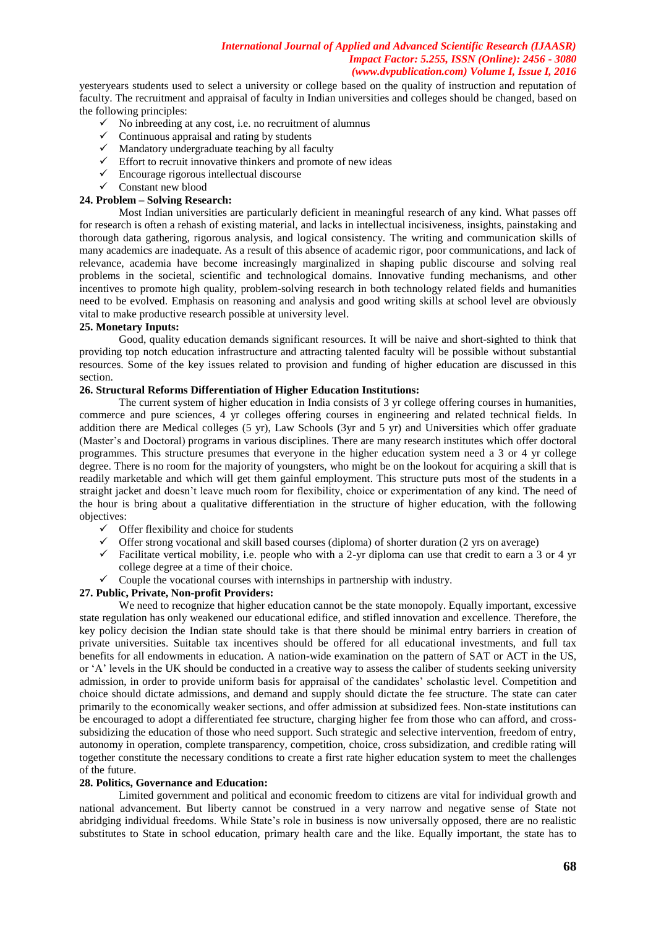yesteryears students used to select a university or college based on the quality of instruction and reputation of faculty. The recruitment and appraisal of faculty in Indian universities and colleges should be changed, based on the following principles:

- $\checkmark$  No inbreeding at any cost, i.e. no recruitment of alumnus
- $\checkmark$  Continuous appraisal and rating by students
- $\checkmark$  Mandatory undergraduate teaching by all faculty
- $\checkmark$  Effort to recruit innovative thinkers and promote of new ideas
- $\checkmark$  Encourage rigorous intellectual discourse
- $\checkmark$  Constant new blood

# **24. Problem – Solving Research:**

Most Indian universities are particularly deficient in meaningful research of any kind. What passes off for research is often a rehash of existing material, and lacks in intellectual incisiveness, insights, painstaking and thorough data gathering, rigorous analysis, and logical consistency. The writing and communication skills of many academics are inadequate. As a result of this absence of academic rigor, poor communications, and lack of relevance, academia have become increasingly marginalized in shaping public discourse and solving real problems in the societal, scientific and technological domains. Innovative funding mechanisms, and other incentives to promote high quality, problem-solving research in both technology related fields and humanities need to be evolved. Emphasis on reasoning and analysis and good writing skills at school level are obviously vital to make productive research possible at university level.

# **25. Monetary Inputs:**

Good, quality education demands significant resources. It will be naive and short-sighted to think that providing top notch education infrastructure and attracting talented faculty will be possible without substantial resources. Some of the key issues related to provision and funding of higher education are discussed in this section.

# **26. Structural Reforms Differentiation of Higher Education Institutions:**

The current system of higher education in India consists of 3 yr college offering courses in humanities, commerce and pure sciences, 4 yr colleges offering courses in engineering and related technical fields. In addition there are Medical colleges (5 yr), Law Schools (3yr and 5 yr) and Universities which offer graduate (Master's and Doctoral) programs in various disciplines. There are many research institutes which offer doctoral programmes. This structure presumes that everyone in the higher education system need a 3 or 4 yr college degree. There is no room for the majority of youngsters, who might be on the lookout for acquiring a skill that is readily marketable and which will get them gainful employment. This structure puts most of the students in a straight jacket and doesn't leave much room for flexibility, choice or experimentation of any kind. The need of the hour is bring about a qualitative differentiation in the structure of higher education, with the following objectives:

- $\checkmark$  Offer flexibility and choice for students
- $\checkmark$  Offer strong vocational and skill based courses (diploma) of shorter duration (2 yrs on average)
- $\checkmark$  Facilitate vertical mobility, i.e. people who with a 2-yr diploma can use that credit to earn a 3 or 4 yr college degree at a time of their choice.
- $\checkmark$  Couple the vocational courses with internships in partnership with industry.

# **27. Public, Private, Non-profit Providers:**

We need to recognize that higher education cannot be the state monopoly. Equally important, excessive state regulation has only weakened our educational edifice, and stifled innovation and excellence. Therefore, the key policy decision the Indian state should take is that there should be minimal entry barriers in creation of private universities. Suitable tax incentives should be offered for all educational investments, and full tax benefits for all endowments in education. A nation-wide examination on the pattern of SAT or ACT in the US, or 'A' levels in the UK should be conducted in a creative way to assess the caliber of students seeking university admission, in order to provide uniform basis for appraisal of the candidates' scholastic level. Competition and choice should dictate admissions, and demand and supply should dictate the fee structure. The state can cater primarily to the economically weaker sections, and offer admission at subsidized fees. Non-state institutions can be encouraged to adopt a differentiated fee structure, charging higher fee from those who can afford, and crosssubsidizing the education of those who need support. Such strategic and selective intervention, freedom of entry, autonomy in operation, complete transparency, competition, choice, cross subsidization, and credible rating will together constitute the necessary conditions to create a first rate higher education system to meet the challenges of the future.

# **28. Politics, Governance and Education:**

Limited government and political and economic freedom to citizens are vital for individual growth and national advancement. But liberty cannot be construed in a very narrow and negative sense of State not abridging individual freedoms. While State's role in business is now universally opposed, there are no realistic substitutes to State in school education, primary health care and the like. Equally important, the state has to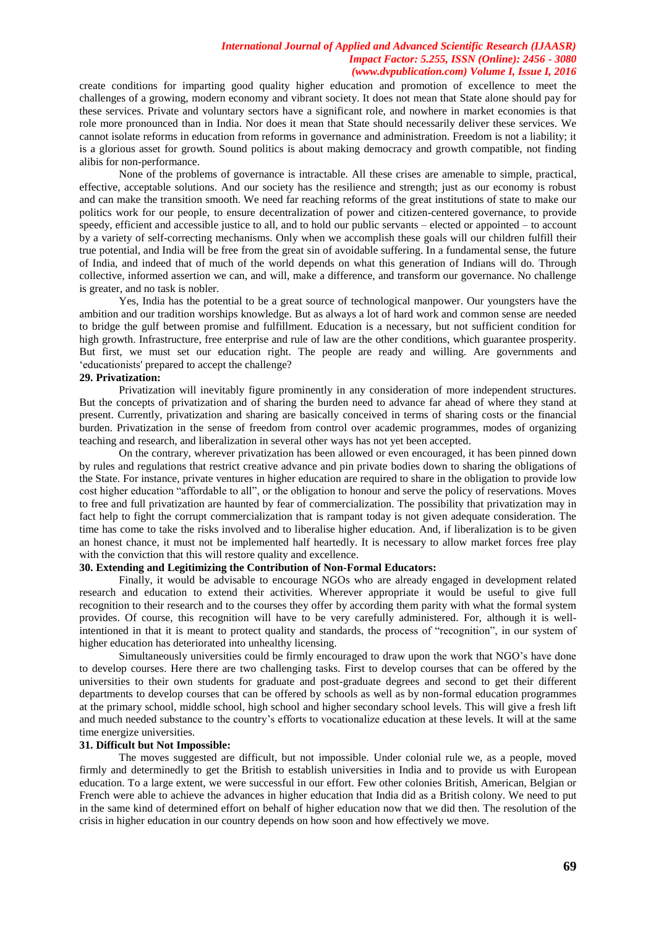create conditions for imparting good quality higher education and promotion of excellence to meet the challenges of a growing, modern economy and vibrant society. It does not mean that State alone should pay for these services. Private and voluntary sectors have a significant role, and nowhere in market economies is that role more pronounced than in India. Nor does it mean that State should necessarily deliver these services. We cannot isolate reforms in education from reforms in governance and administration. Freedom is not a liability; it is a glorious asset for growth. Sound politics is about making democracy and growth compatible, not finding alibis for non-performance.

None of the problems of governance is intractable. All these crises are amenable to simple, practical, effective, acceptable solutions. And our society has the resilience and strength; just as our economy is robust and can make the transition smooth. We need far reaching reforms of the great institutions of state to make our politics work for our people, to ensure decentralization of power and citizen-centered governance, to provide speedy, efficient and accessible justice to all, and to hold our public servants – elected or appointed – to account by a variety of self-correcting mechanisms. Only when we accomplish these goals will our children fulfill their true potential, and India will be free from the great sin of avoidable suffering. In a fundamental sense, the future of India, and indeed that of much of the world depends on what this generation of Indians will do. Through collective, informed assertion we can, and will, make a difference, and transform our governance. No challenge is greater, and no task is nobler.

Yes, India has the potential to be a great source of technological manpower. Our youngsters have the ambition and our tradition worships knowledge. But as always a lot of hard work and common sense are needed to bridge the gulf between promise and fulfillment. Education is a necessary, but not sufficient condition for high growth. Infrastructure, free enterprise and rule of law are the other conditions, which guarantee prosperity. But first, we must set our education right. The people are ready and willing. Are governments and ‗educationists' prepared to accept the challenge?

### **29. Privatization:**

Privatization will inevitably figure prominently in any consideration of more independent structures. But the concepts of privatization and of sharing the burden need to advance far ahead of where they stand at present. Currently, privatization and sharing are basically conceived in terms of sharing costs or the financial burden. Privatization in the sense of freedom from control over academic programmes, modes of organizing teaching and research, and liberalization in several other ways has not yet been accepted.

On the contrary, wherever privatization has been allowed or even encouraged, it has been pinned down by rules and regulations that restrict creative advance and pin private bodies down to sharing the obligations of the State. For instance, private ventures in higher education are required to share in the obligation to provide low cost higher education "affordable to all", or the obligation to honour and serve the policy of reservations. Moves to free and full privatization are haunted by fear of commercialization. The possibility that privatization may in fact help to fight the corrupt commercialization that is rampant today is not given adequate consideration. The time has come to take the risks involved and to liberalise higher education. And, if liberalization is to be given an honest chance, it must not be implemented half heartedly. It is necessary to allow market forces free play with the conviction that this will restore quality and excellence.

# **30. Extending and Legitimizing the Contribution of Non-Formal Educators:**

Finally, it would be advisable to encourage NGOs who are already engaged in development related research and education to extend their activities. Wherever appropriate it would be useful to give full recognition to their research and to the courses they offer by according them parity with what the formal system provides. Of course, this recognition will have to be very carefully administered. For, although it is wellintentioned in that it is meant to protect quality and standards, the process of "recognition", in our system of higher education has deteriorated into unhealthy licensing.

Simultaneously universities could be firmly encouraged to draw upon the work that NGO's have done to develop courses. Here there are two challenging tasks. First to develop courses that can be offered by the universities to their own students for graduate and post-graduate degrees and second to get their different departments to develop courses that can be offered by schools as well as by non-formal education programmes at the primary school, middle school, high school and higher secondary school levels. This will give a fresh lift and much needed substance to the country's efforts to vocationalize education at these levels. It will at the same time energize universities.

# **31. Difficult but Not Impossible:**

The moves suggested are difficult, but not impossible. Under colonial rule we, as a people, moved firmly and determinedly to get the British to establish universities in India and to provide us with European education. To a large extent, we were successful in our effort. Few other colonies British, American, Belgian or French were able to achieve the advances in higher education that India did as a British colony. We need to put in the same kind of determined effort on behalf of higher education now that we did then. The resolution of the crisis in higher education in our country depends on how soon and how effectively we move.